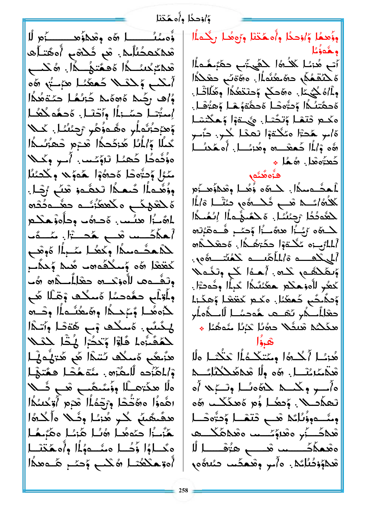وَّٰ٥مُنُـَــَــَـهُ اللهُ٥ وِتَعَذَوۡوَ ــــــــــزَمِ لَٰهَ مْدْكُدْمَنُالْدْ. مْعْ شُلْاهْعْ أُهفَتْلُه مْحَمَّبُكْسُــدًّا هُع**ْتَنَيُــد**ًا. 2ْكْـــم أَسْلَم وَكَلْمًا كَعفَنُا مَبْتُى 60 وُأَهَا رَجِّيهَ هَاهَمَهُ خَرْبُهُمْ حَمَّةَهُدَاً إمتُتما حمَّــزلَما وأحْسَا. هَحِفُه كُعُــا وَهرَجَزَتُمارِ وَهُووُهُو رَجِئتُا. كَــلا كَىلًا وَٱلۡلَٰلَ هَٰذِكَـٰهَا هَـٰٓءٍم حۡعَزُنُـٰـٰهَا ەزۇھەكا كىھئا تارىئىب ، آسو وڭىلا مَّئْوَلَ وَحَتَّوَهُمْ أَهْدَهُوْ الْمُعَوِّلَاتِ وَكُلْحَمْتُنَا وِؤُهُـٰء)ُا حُـٰهـٰۂا تَـٰهُـٰہوۡ مَنّی رُجْـا ٖ. ەلھككى ەلاھقۇئە دىئەدۇرە لمؤكرا هنُس. ةَصَوُبَ وَظَوْوَهَكُمْ للألمدُّےممدُّا وكعُما مَّـرِمُّا وَوقَعے كَقَفَا هُوَ وُسَكْفُوهِ مُحَمَّدٍ وُحَكَّبٍ وِنْڤُــەما لاْەۆتىــە حَعْلِلُمـــدُّە ھُــا وِلُقِلُّمِ حَقَّوْصُلًّا وُسَكُّفَ وُقَبًّا هُم لأوها وُعِدِداً وهُ هُشُواً وصَلَّه لِحُنُبُ . هُمكُكَ بْسِ هُدْشَا وِأَتَـٰذَا لِكَفَنُوما قَاوْاً وَتَدَدُّمِ الْمَثْقَا لِكَتَلا هنَّىغُبِ هَسكُك تَتَبْدَأُ هُي هُتِهْرَيْهِ لِ وْالمْنَوْدِ لَّاحِدْ; مِنْتَحْدَا هِمَّتْهَا ەللىمىترىمىللى بۇشىئىسى شىس ئىسلا اهُووُّا وهَخُصْا وِرْجَعُلًا هَبْعِ أَوْكُنْكُا هقَىقَىلّ كُلّ هُزْمًا وِثَّىلا هأَكْدَهُا هَّزْسُزُا حِمْدِهُما هُنُا هَٰزِسًا مِهْرُهُا مكَّاؤا وُحُـا مِمْـوُلُما وأُمكَّنْـا أُەقىمىلاھُنىما ھُنگىس وُحِئىر ھُــوھھُا

وذَهمًا وَاوْحِكًا وِأَهْمَّتْنَا وِرُوهُـا رِكْحَاًا وهُوْمُهْ أَنْبِ هُزئاً كَلَّهُ الْحَكَّيِّبَ حَقَّئِهُمْ الْمُتَعَ كَمْكَلُّهُ هُمُّ مَا مُتَّمَلًا. وَوَّةَ مَّعَ حَقْلُهُ ا وِٱلْهُكِيِّمَا. ٥%حكْم وُحِنْتَعُدًا وِمَكْلَاتَـا. ەَحمَّتىُـدًا وَحَبَّەتْـل ەَحمَّةوُـمْـل وَهـُرْهْـل. مكم قتمْا وُتحْتا. يُ قوْا وُحكْتشا ة/ب هُجْرَا مَكْتَوْا تَعِمْا كُبِ. جَبِّ رَّةُ وَٱلْمَالَّ صَّعْفَ وَهُوَيْسَاً. أَوْ هَٰذِيْسَا كَعْتُوهْا. هُمُّا \* ونُوهُدُهِ أهدُّ عمدًا. كَنْ مَنْ وَقُولُ وقَدْوَهِ وَم كَلاُهُ/سُــد شَـــ وَهُ مِنْــد وَالْمَالِ لِمُعْمَدُكُمْ رَجِئْتُمْلِ. هَلِكُمَيْهُـمِلَّا إِنْـهُــدًا لِكُمُو رَبُّ أَرْتَ مَنْ الْمُحَبِّرِ فَـوَمِّرْتُو ٱلْمَلَّرُبِ: كَكْتَوْا حَكَّرْهُكُمَا. هَحْشَكُمُ هَ .رەۋەــــــة ئەلملەڭ ئەسسە ئىككىنىلىدۇ وَسِمَحْشَمٍ كَدهِ. أَحدُا كَم وتَنْدَمَلا كَعُرِ لِأَوزِهِكُمْ هِكْنُنُكُمُ كَبِلًا وَدُودَرَا. وَحِدَّحَبٍ حَمِعَيْلٍ. وَكَبِ كَعَقَدَلٍ وَهَكَـٰهَا حعْلِلْمــدُرِ نَعْـــم حُمدسُـــل لَّامــدُه اُر ھكَكُمْ قْتِضُلا حَمُّلْ تْدُبُّلْ مُّەھُمُّا ﴾ هُذِبًا أَحْدُهُ! وِمُتِكْدُهُ! يَخُبُّلَ مِلًا هأسبو وكمسط لمكاه واستربلا أه تَعِكَّاصِلًا . وَصَفَّا وُم هُمْكُكْبٍ هُهِ ومنٌــــەووُنُامُمْ هَــــو كَتَـهَـــا وَحَتَّەكَـــا قْلْمَكْـــزُو ەقْلۇكىــىپ ەقىلاھْكْــىك ەقىمگكىسىسە قىسىم ھۇقسىما لَ ەْكمۇۋ*دۇنلۇ*كلى. د*ا*ب وەھمكىب ئى*لدەۋ*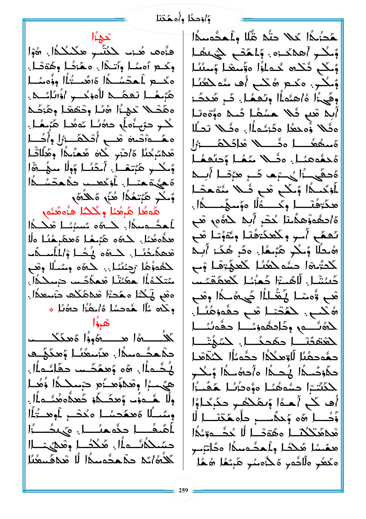وُ/وحدًا وأُه هَنَّنَا

تحلمو فَأَوْهَا هُـزَبَ لِلْنُنُّبِ هِكْبُكُمُّا. هُوْا وكمع أوسُما وأتبال وهُزْدا وهُوْما. هكَّ م لْمَحْسُـدُا هَاهُمْــتُهُاْ وِؤْهِسُـا هَّبُـمُـــا نَـْعَفَـــدَ الْأُوذِكْــــرِ اوْائلُكَـــد. مكْتُمْ لَمْهُمُ أَرْمُنُا وِحْقِقُا وِهَٰزَحُكُمْ لْحُرِ حَرَّىٰ أَهْلُ مَاسُلٌ مُوهُمْ الْمُرْسَمُا. مَعْـــٰـٰهَ تَصْبِحُ أُصْحَحَّــٰ زُلِ وأُحُـــا هْدْعُبْكْنَا هَادْبَرِ كُنْ هُمّْنَىدًا وِهَٰلَاتْـا وَّحْكِ هَبَّتَمْـا. أَحَضًا وَوِلًا مِجْـــةَا الْمَسْمَعْهُ عَلَى الْمَسْمَعَةِ مِنْ مِنْهُمْ وَّىكُمْ هَزَّىْمُدًّا هُنَّى هَلْدُهَى ۖ هُوهُا هُرِهُمُا وِكُلْهُا فِزُوهُنُور أهدُ وسِمًا. كَنْ مُسْبُسًا قَلَكُمَّا ھدُّەھُئا. كەھ ھُبُعُا ەَھھَبِعُنَا ەلَّا هْھكَمْئُسَا. كَلَّهُمْ يُرْضًا وْٱلْمُسَلَّفَ لِمُعْمَوُهُا <sub>ٱ</sub>ْجِنُنُـا.. لِمِنَّة وِسَّىلًا وِمْع مَتكَمَلًا هِعَنْتَا مْعَذَكْسِ حَسِكِدًا. وقع لمُكْتَا وهُدْرًا قَعَمْكُمْ حَسْعَدًا. وِكْلَاهِ غَلَّا هُوصِمًا وَّاسِعُزًا حَدَّمًا \* <u>ش: ا</u> حَكَمْحَــْــٰمِــٰمَلْ ). مِنْزَمِـمِكْنَـٰلِ وَمِحْكَمِّــِف لْمُشْمِلًا. ﴿ وَمُعَمِّصُبِ حَقَّلَتُمِلًا. ههُمبُرا وقَداؤُهنُو حَمِيكِمُا وُهُما وِلًا حُــووُب وَهكــكُو كَعثُوهُكــمِـلًا. ومِّمَــلًا هَجْهَجْمَــا مِكْجَبٍ لِمُوجَدِّبُلَّا أَهُمُ الْمَسْمَلِ الْمَسْرِينَ مِنْ الْمَسْرَةُ الْمَسْتَمَرَّةُ الْمَسْتَمَرَّةُ الْمَسْتَمَرَّةُ ا حسَّنكُفُ عاُل. هَكْشًا وِهْيْ ال ݣْلْمُ/مُدْ حِدْهِحْمِيمُا لْا مْدْفَسِعْنَا

هَدُمُ اللَّهُ حَتُمْ مَمَّالٍ وِلْمَحْمِيمُ ا وَْحُكِ أَهْلَكَ: وَلَمَكْنَ حَيْمَهُا وَّىكُمْ ثَكْلُو جُمْلَوُّا وَوَّىْتِقَا وَصَلَّلًا وَّمُكُس، مَكْمٍ هُكُم أَفْ مُقَطِّعُنًا وَفِّيدًا هُ/هِنُماْلِ وِنُعِمَالِ. كَمِ هَٰذِكَٰ: أَبِهِ هَبِي فَلا سَنْعُلِ ثَبِيهِ هَوْةَهِ لَهِ ەئْلا ۋەھكا ەئزئىمال. ەئىلا تصال هُدشُوهمُا. وضُــلا مَنْشَا وَجِنُعِشَاً هَحفَّى أَلْكُنَّهُم كَبِ هِبْمُداً أَبِيهَا لُمِكُنكُما وُجِكُم هُم شُكلا مُتَمَعْصًا. ھكَتِفُتَـــا وكَـــــفُلًا وَوُمِيمُـــــدًا. ة/َحِقُوْوَهِدَّمْنَا حُضْرِ أَبِهِ لِحَوَّهِ وَهُم قَبِ نَعْمَى أُسِرٍ وِكَعْدُرْفُنْا وِثَّةَوُنَا شَيْ ھُىطًا وُحُدٍ هُبُىعًا. وكَرِ هُكَا أَبِي كْحَتّْمَةَ حَسَّمَكْمُنَا كَعِنّْهَا وَبِ كَسُتْبَارٍ. لَّاهُبْ أَرَاهُ كُمْ ذَٰلِ كَعِمَقْتَيْبَ هُــم وُّوسْــل هُـقُــلِمُلْ كَــحِمْدُ هُــدُل وِهْــمِ هُ كُلَّــعٍ. كَمُتّْسًا هُــعٍ حقُّهوْهُنُــاً. ﻼﻗﻘﯘﺛــﺎ ﺣﻔﺤﺪُــﺎ. ܠﻤَﻨُﻨْــَـﺎ حمْدحمُنُا لِّلْتِعِنْكُمُا حَدَّمْنُال حَتَمْعَلَ حكَوْحُمِيكُا بِرُحِيكَا وأَحِدُّمِيكَا وَيَكْب لِكْنُتْتَرَا حِشُوهُمُا وَوُودُتُنَا هَقَبُرَا أَه كُم أَهـهُ! وَتَعَلَّمُوا حَكَرِكُمْ وَإِذَا وَالْمَجَمَّدَاوُا ؤُحُـــاً هَ٥ وَحِدًٰٓــــــ حلَّ٥ هَجَنْـــا لُا مْحِكْتَكْسَـا مِعْوَصْـا لَا حُدَّــوتِكْا همَّسُا هَكْلُ وأَحدُّدمكُ ا مَكَاتَبَب ەڭھُر ەلَّاھُەر ەْݣەممُر ھُبْمُعْ ھُمَا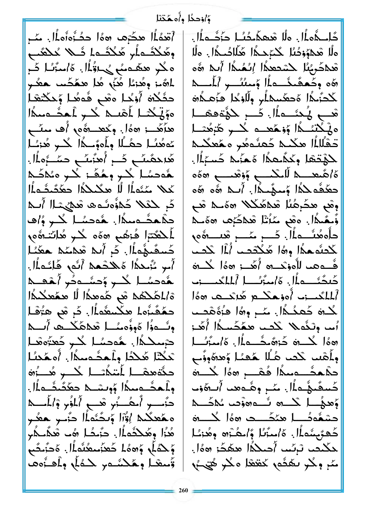وُاوْدِدُا وأَوْهَدْنَا

أَهْدُمُاْ هِجُرْهِ 50\$ حَدُّ;ْ10\$. مَمْع وهَكْثُـء)ُرٖ هَكْثُـءا ثَــلا مُحْقَب مَكْرِ هِكْمَاهُ إِلَٰهُمْ لَهُ وَلَٰهُ هُمْ مَنْ لَهِ لمؤد وهُنا هُنّي هُا همّكَت حعُب حثُكْثَ أَوْحُلُ هِمْمٍ فُوصًا وَحِكْتَعْلَ وَوَّيْكُمْا لَمُقْلِمْ كُلْرٍ لْمُحَْسَمَا ا هدَهَــــــــــ و و دُهــــــــ و و و الله عني الله عني مستقلب حَمَعُنَـا حمَـُـلَا وِلَموۡ َــدُاۤ كَــدٖ مُدَـٰٓـا هَٰاحِمَّتَـٰٓ کَـٰٓ ٖاُهْنَتَـٰٓ حَشَـٰٓءٖٗہۦۢڵا ؞ هُوصُلاً كُلْرٍ وِهُفَّ; كُلْرٍ وَيُؤَكَّلُ كَلا مَنْدَمَٰا لَٰا هكُنْحَدًا حَعَجَبْدُومَٰا كُرِ حَكَمًا كَمْؤُوسُوهِ مُحَصِّحَالَ أَسَمَّ حكْلَمْدُدْمِيلَانَ حُدْمَسَانَ كُنْسَ وُأَفْ أَكْفَتْهِ! فُبْعُمٍ 500 كُلِّرٍ هُائَنَّـةُومٍ كَسڤَيهُماُل. كَرٍ أَبِيهِ هَدْسُدِ بِمَعْنُا أَسِ خُصْدُا هَ لِلْحَمِمِ أَنُوبِ فَاتَواٰ اِ. لْمُوصِيًا لَكْسٍ وَجِيئَنِدُو أَنْقُفْ \$ هُ/لمَّكْتُمُ مَّع هُءهدًا لَّا هُمَّعْكُدًا حمَّفٌۂُه مكْسِفُه أَل. كُرِ هُم هِتُوْا وِنُــدَوُّا هُوِؤْدَمُـــا شَدْهَكَـــت ٱبـــد دْمِمْكْمَالِ هُوَجِسًا كُنْبِ جُعَةُوهْمَا تَكْتَا هَكْلَا وِلْمَثْـٰءمماً. أُه هَٰـُمُـٰل حثَّةهما أَسْلَاصًا لَحْسِرٍ هُـــزُه وِلْمِدَّےمِيكَ أَوْتِسْيَدْ حَقَدَّدَّے اُلْ مكَعكُـدا إِوّْآا وَبِحَثَماًا حَزَىـو حَعْدِ هُٰۥۢۢٳ وٖهٗٚڵڎٞڡڵٳۦ ؎۫ٞٸڂٳ۞۠ٮ۞۠ٮۿؙڔ وَّىكُمَا وَّەەُ مُتَضَمَّعْتُمَا بَا مَحَبَّىصَ وَّسعْدا وِـمَحْشَـٰمرِ لِحْمَلُ وِلْمَــرُّەم

دَّاِـــدُّه اُلْ. هِ اُلْا شَعِجَا حَنُّــدَّا حَزَّدُــمَالَ. ەلْل ھَجْوَدْنُل كَتَبْحِجُلْ هَكْلاَصْحُلْ. ولْل هَدَكَرِبُلَ حَسْمَعَدُا إِنْهُدًا أَبِدْ هُء هَه وَكُمفَنفُ عالَمَ وَمِينُكِ إِلَمْك كْحَزْىمُا ەْحغْىىملُر وِلَاوْكْا فْزَعِـدُه هَـــم لهُــْـــملَا. كَـــب للهُّـقوهــا هِ يُكْتُبُكُمُا وَوَحَصَصَ لَحْسِرٍ هَٰٓبِهُمْسَا تحفُّللاً مكّد حُمنُومُو وَحَمَدُكُ لحَهْتَهَا وِكَدُعِمًا هَجَنَمَ كَسَبَئًا. ة/هُنعنسه لَأَمْنَسَبِ وَوَقْعَسَبِ 200 حعَفُ حِدًا وَسَهَّىدًا. أَبِّهِ وَهُ وَهُ وقع محدِّهُمُّا مَحْمَعُكُلاً 50مَكْ مَعْ وَّمْعَكُلْ. وقْعِ مَكْلُتْا قْلِحْكَرْهَا (2004 دأەھُشُــەلَمَا. كَــــر مَــــر هَىــــەُەر كْحِنُهِ هِمَّا وِرَهَٰا هُكْتَحِب أَلَمَّا كَحِبَ فُــوعب لأُوذِيْــره أُهُـــز 30أ كُــرف حُىحُدٌ \_\_ە/ْل ، هُ/مِنْزُ َ لِلْمَالَّحِبِ وَ بِهِ ألملكَّسين أهوهك هره هُدتمت هوا كُنْ حُمْدُمُّا. مِّى وَهُ فَزُّهُمْت ٱب وِلْنُدِيلا ۚ لَكْتِبْ هِكُتُمْتِيْدًا ٱُهَٰٓ ۚ 10% لَكْتُ دَاهُ مُشْتَّبِهِ أَلْ: ﴾امْتَرْتُسَلَ وِلْمْس كْلّْمِ هُـُلَّا هُـْعَـُـلْ وَهِدَهُووَّى كُسفَيْهُـءاُل. مَنْـرِ وِهُــوهنا أَنــاهَوْت وَهِهُما كُمْسِهِ شَمْهِوْمِ مُكْسَمِهِ كَعْوَمِيثُمالِ. ݣَامِيزُنْلْ وَّامِعْيْرْهِ ۚ وِهُدْنَالْ حكْتَصَا تَرَبَّسَا أَصَلَّكُمَا هَهُكُمْ هَالَ. سُر وِكُمْ تَكُفُّهُ كَتَقْعَدُ مَكْنٌ هُتَيْءٌ }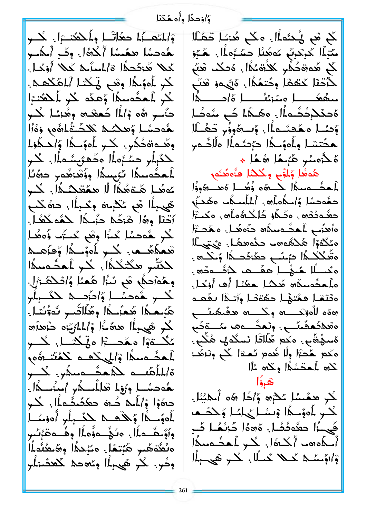وْالْمَعْدَٰلْمْ حَعُلَتْ إِلَىٰ الْحَمَّدْ وَإِنِّي كُنْبَر هُوَصِبُلُ هُهُنبُلُ أَيْخُوهُلَ وَضَرِ أَيَذُهُ بِ كْمِلا هُوْتُحِدًّا ةَالْمِيزُوْ كَلا أَوْكُلَ. كُرِ أُهوَّدُا وقع نِّكْدَا ٱلمَّكْعِدِ. كُر أَحثُومبِدًا وَعِنّه كُر أَكْفَتَ إ دَّىبِ ۞ُه وْٱلْمَا كَعْعْدِ وِهُٰٓئِىٰا ۚ كُنْبِ هُوصِيُا وَمِنْكُمْ يُكْتُوَاهُو وَوُٱ وهُـدةحُكُر. كُـر لَمْوَمْكُل وَٱحكَمْوَا َكْذَبُلُو حَمَّزُهَ أَا هَجُعَيْهِشَمْأَا. كُـُو لْمَثَّدسَكُا نُبُسِكُا وِؤُمْرَشُد حصُّلًا عَەمُدا هَـٰۃمُدُا لُا محمّقدے۔دُا جب حُد تَّعِيْ إِلَمَا تَيْمِ مِنْكُمْ مِنْكُمْ بِمَا أَبِي هُمْ يَكْسَمُ أَحْلًا وِهَٰا هَٰزَكُمْ حَزَىـٰهُا ۖ حَقْمَكُعُـلَ. كُر هُءصُا كُنُّا وِثْعِ كُنتُ وُّەفُـا تَعَمَلَاتُكُمْ . كُلْبِ لَمَا وَقَسَمًا وَقَوْمَكُمْ لْحُتُسِ هَكْتْݣَدُا. ݣُـْرِ ٱحْشُدْهَا، وِهَءَٱحكُم هُم نُـٰزًا هَمْنَا وُٱتَّـٰاهَـٰذَرَلَ. لُحْسِرِ هُوَجِسًا وَٱجْتَجِسِيمَ لِلْكَسِيلُرِ هَّبُـعـُـدًا هُـعَنُــدًا ومَكْلآثَـــرِ نُـهوُّنُـْـا. لَكُمْ هَيْ الْمُ الْمُؤْمَنُ وَالْمُلَائِحَةِ حَوْهَدَهُ ئگـــقوْا ەھْھـــتْ ەتىگشـــا. كْــــو مِهِ شَــْمِـدُ مِــمِكْرِ لِيَ الْمُموسِّـ مِنْ أَمْسِنَـ مِنْ مِنْ ةالمأهَّب لمُدَعثُــهممُــن كُـــو هُدمسُــا ورُفِـا هَالمُـــدُرِ إميُنــدُا. حدُوْا وْالْمَلا حُــْهْ حَعْصُمْـْـماْا. كُــْر لَمَوْمِــدًا وَجَدْهِــدَ حَكَــبِلُرِ أُدفِعُــأَ وأوٌمعُــد}اً. دىُهُــدؤُد}ا وفُــدة؛ِىّـبر ەئعْقىھىر ھَبْتقا. ەتېددا وەمھْنُەلمَ وِحُو. كُمْ هَيْ أَا وِمُهْدَ كَعْدَمْ بْلَ

كُمْ هُمْ هُحْدُهُ أَ. ه كُمْ هُزَيًّا تَحَمُّلُا مَّتِبِٱۤا كَبِرْدِبِّ عَاهُدُا حَمَّرُواْا ۖ هَـٰٓءَۭ **ێؠ؇ؘ**ڡۊۘڂڲؙڔ؆ٚڲڷۊؽڲؙٳ؞ٷڡػٮ۞ۜ ِكْتَمْلَا كَتَعَمْلَ وِحُت**َمُ**دًا. هَنَّى وَ هَبِّ معُعُدُ الصَّنْدُ الْمَسْلَمُ الْمَارْتَ الْمُ ەَحْكَـْجُـُـْـمالْ. وهَــكْل كَــح مْدَدُـل وَحِسًا مِمُعِنُـمِلَا. وَسِـرَهُووُرِ حَمَــلَا حكتشا وأوؤحأا حردئهأا ولأكمر ەڭدەملو ھۇمگا ھەگا م هُوهُا وُلَوْمٍ وِكُلْمًا فَزُوهُنَيْمٍ أَحدُّــــــــــمكُمْ لَــــــرَهُ مِنْ وُهُـــــــلِّهُ مَحبِّــــوَوُّا حَقَّوْصَدُا وُٱسْلَاهَا ٱلْمُلَّاسِلَةُ وَهُدَىٰ حَقَّـه دُدْهِ . هَكُمْوْ كَالْحُـهُه مْآه . هَكَـــتْرَا وأهنَّبِ لمُعضَوسِكُم جَزْوهُما. وهَدْتَرَا مَكْتُوْا هَكْشُە مەن كەنگە ئۇنگەن ەتّْكْكْدُا دَبْسًى حَعّْزَحْحَـدُا وُحْكـ ەڭىسال مُىمْسا ھەَسىم ئۇئىسەتە. مأهثُومها هَذَا هِكَنَا أَفِ أَوْخُا. وثتما فمُتهْل حمّةدْل وأتـدْا بفُعـو هەَه لاُهرشت و شەھ مەئىگىگ ەقلاكْمقَىنّىپ. وتمشّىمە شىنقْضَى ەْسۈشّْى. ەڭم ھَلَاتْا تىىگەلى ھُنَّىي. مَكْعِ هَجَةًا وِلَا هُدِعِ تَعْدَا كَلِّ وَتَرَهَّدَ لَكُمْ لَمُصَدِّمًا وِكْلُهُ عَالَم **ئگرؤ ا** ِكُمْ هُمُسُلَّ كُلُّهُ وَ*أَخَ*ا هُءَ أَسْلَيْلَ. لْحُبِ لَمُوَمِّطُا وَبِسُلِّيْ إِسْلِ وَجَحْشَمِهِ فَيِيءُ احْمُدْدُلْ. هُههُ اُ خَرْبُهُمْ كُبِر أَسْكَاهِ مِنْ أَخْذُهَا. خُبْرِ مُحَدَّدِهِ الْمُؤَسِيرَا وْارْمِسْكَ كَتْݣَا كُتْبَارْ. كُتْبَرْ هْيَجْرَأَا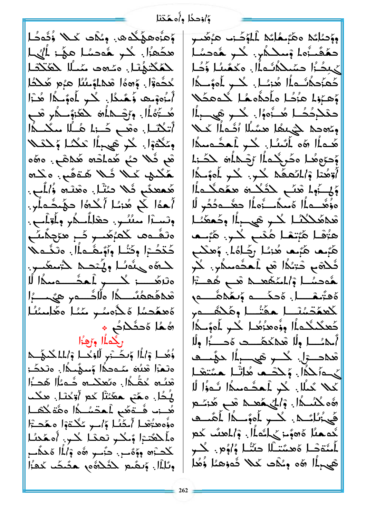وَعَنُوهِ وَكُوهِ. وِغْدَى كَمِلا وُثُودُا هدَهُ: كَـرِ هُوصُـا ههُـ: أَيُـا لْمُكْتُهُلْا. هَـُـهِ مَسْلًا لِهَنَّكْمَـل كْخُورَّا. وُهوْا هْدْلُوُّىنُلْ هَزْم هَٰكْذًا أَمَرُّهودها وَّـمَّىكُلْ. كُنْبِ لِمُّهوَّمَكُلْ هُنْزَل هُــَةُمُاً. وَرُكَــدَاُنَ ـدَهَّـٰذَوَّـــدُّى هَــعِ أَتكْتَـا. وقب كَــزا هُــلًا مكْــدًا وككفؤاء لخر هجرا التكما وككلا هُمْ ثَلاَ ئُمْ هُدَادُه هُدْهُمْ. ٥٥٥ هَكُنْ كَنَا ثَنَا هُـتَفَعْ. هَكْتُهُ هُععنُم ثُلا ئشّاً. هِمْلُو وُٱلْمِ. أَهمُا ۚ لَا مُنْا أَكْدُا حَهَّحُواْبِ. وِتَسَـٰأَا مَسُنُـُو. حَعْلِلُمـكُو وِلَمْوَلَمـعَ. ەتقَـەما كَلمُۂِمَسر كَبِ مْرَجِدَّىنّى كُذْكُرْا وِكْتُا وِأَوْجِعْكَالِ. وَتَخُطَلا . بمستحمته ممكني وأعثى هقك ەتىڭ خارىم ئىمگىسىمىدا لا هَدَفَهمُنَـــدُا هَلَّاشُـــــمِ هِيُحـــــزَا ەھكىشلا ەلمۇەمئىر مىئال ەھامىئىلا هُمُا هُحثُكُاثُ ﴾ وبكمأا وزجارا وُهُــا وْ/يُاْ وَيَــْـْبَرِ لّاوْجُــا وْ/المْكَنّْهُـــدْ ەتمار اھلە مىلەندا ۋىمۇسىدا. ەتىخى هْنُـهِ غُـْمَاً. مَعْكَــهِ خَــْمَاْ هَدـُ;ا لِمُحُلِّ. وَهُنْ هِعَيْنَاْ كُمْ أَوْكُنْلَ. هِكُت هُــز هُــتَمَكِ لْمَحْسُــدًا مِمَّة كُهْــا وؤُوهبُوْما أَمكُنا وَاسو عَكْتَوْا وَحَدَبْنَا مألمكتــْمِ وُحُكــر تعـقـا حُكــر. أُمحّكـُـا ِكْحِبْرَهِ وِوَّەُبِ. حَنُبِ ۞ه وَٱلمَّا ەَحِدَّب وِتَالَمَا. وَيَصُّم لِكَيْلَاهُم حَصَّصًا لَحَقُوا ووَّحْلِمُّ مِحَبُّمُلْمُّهُ لَمَاوِّخُزْتِ هِزْهَٰتِ حمَّقُــ;ٌه£ وۡمحكمُرٖ. كُــرٖ هُءحسُـل حْيِبْدُ أَرْسَامِكُمْشُمْلًا . مَكْشَبُلْ وَّجُلْ كَعَزْحَكْشُــْمَاْ اهُـْئَــا. كُــْبِ لَمْوَهُـــكَا وُهبُوْط هزُكُمْ مِلَّكُمْمِطْ گُدْهَكُلا حَكَدْحُصًا هُــزُهِ}ْ. كُــرٍ هَيْــزِــرُا وتحافظ المشتار المستك المحامي هُـومُاْ هُوَ أَئْسُلَ. كُـرِ أَحْثُوممُاْ وُحرَّهِ هُـا محَٰرِيْكُـماُ الرَّكَــدَاٰ هَــدَــدَا أَوْهُدًا وْالْمُحَفَّدْ كُبْرٍ. كُبْرِ لَمُوَمِّكُم وَلَى أَوِلَ هُنَّى لِمُثَلَّاةَ مِعْمَكُمَاْ وَوُّهُـــولُمْ وَمَــدُّومُا لَــوَّـــوصُــوكُــو لُل هَدَهُكُكُمَا كُبِ هَيْ بِمُأَ وَحُمِعَمُمَا هُرُقَا هُبْتُمَا هُنْبِ كُـرٍ. هُبُـم هَّزَمِ هَٰزَمِ هُزْئِهِ رَجَّاهُا. وَهَكُم ثَلاةى تَـٰٓتِنُكُا مْعِ لْمَحَّمِىكُو. كُـر مُوصِيًا وَالْمَمْعَدِ مَنْ هُوَ تَرَا هُ هِتُمْكُلْ. هُ حَكْسَمْ وَمُعَلِّهُ هُمُ مِنْ للعمِّدْسُنْــــا حفَّتْـــا وهَكْفَــــــهْرِ كَعنْكُدهُا ووُّەمْزُهُـا كُـر لَمْوَسْدُا أَحِدْكُمْ وَلَا مُحْكَضَّصَّتَ وَحَسَبًٰا وِلَا مُحدث على مُصابِعًا حقَّم م حْدَمَكُمَّا . وَحْدَحْ هُاتْ حَمَّتْعْدَ كَحِلًا كَمِلًا. كُرِ مُعشَّدِمكُمَّا نُدوُّا لُه هُ٥كُسُكًا. وْالِمُكْصَدْ هُبْ هُنْكُمْ فَيْ زُلَائِيهِ. كُبِ لَمْوَوْسِيدًا لَمُصْبِعًا كَدَهِمْا وَهُوَّمَ حَالَمُدَاْ. وَٱلْمَحْفُّ كَدَ لَمُتَوْصًا هُمْسَّتْلَا مَتَّنَّا وُاوُم. كُــْر هَيْ أَلْهُ مِنْكُمْ كَمَلًا شُوْهَنُا وُهُا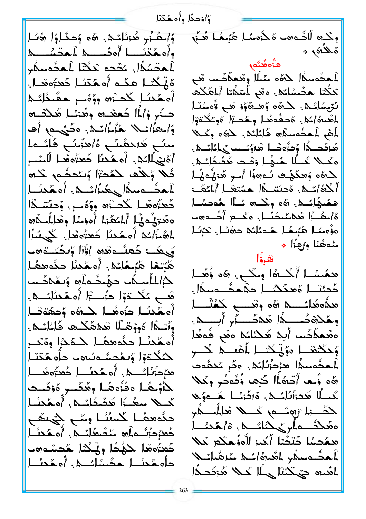وَٱحكُنُوا هُدْئِلْتُمْ. هَء وَحَدًاوُا هُنُّا مْقَسُمًا. حْتْدَ تْكْتَا مْعَثْمِيمُ هْلِّكْمْا هِكُمْ أُوهَقْنَا خُعْبُوهْا. أُهمَّدَنُـا كَدَرْه وِوَّەْسِر هڤَـدُائـُـد حِبُّو وْٱلْمَالْكُمْعْدُ وَهُوْسُلْ هَٰلِكُدُو وَٱسْتَدَاسًا هُنُوزُٱسًا. وَضَيْبِءٍ ٱُف سِنَّے هَٰرَدجَنَبْ هُ/هزَّنبْ هَٰاِسُـما أَهْتِ لَمَاسًا ﴾. أُه هَٰدُمًا ضَعتُوهُما لَلْمَسْرِ ثُلا وَلِلْكَ لِمَمْتَزَا وَسَحَدُهِ لَدُه أَحْدَثُ مِنْ أَمْسِدِ الْمُحْدِثَ الْمُحَدَّثَ الْمُحَدَّثَ الْمُحَدَّثَ الْمُحَدَّثَ كُعِبُّوهْما كُحِبُّوهِ وِوَوَّسِنٍ وَحِنَّسَـٰهَا 0هَـٰٓدَيْـُـهِ لَمْـٰ أَمْرَاءَ أَمْرَاءُ وَعَمَلَكُمْ وَعَالَمَـٰدُ لِمُدُّرُكُمْ أُه هَٰدِيُّا حُمْتُوهُمْ. ݣَحْدُوا الْمَعْرَفُولُ يُ هَذَا وَ الْأَوْلَ إِنَّهَا وَ مَسْتَدَهَ مِنْ مَنْ مِنْ مِنْ مِنْ مِنْ هُبْتِهْلِ هُبُسُلْبُمْ. أُوهُدْلُ حِذْوهِهُـل لِكُمُ الْمُسَلَّفُ دَهُنَّتُ وَأَنَّهُ وَمَعَكَمَتُ مْبِ كُلْـ ةَوْا دَّنْــــٰٓرَا أُه هَٰحَنُائـَــكِ. أُه هَٰدسُا حَزَٰهَ هُــا ۖ هــٰهُه وَحِهُةَ صَــا وأتـدًا هُووْهَـلًا مْدَهَّكْـم فَابْلُـُـد. أهكنا حذَّه معمَّا كمَّدُا وهُنْد. لثلاَّتَةٍا وَيَمُحِشَّمَتُيهِ حَالَى هَذَيْنَا هِرْحُزُنُكُمْ. أُه هُدسُه حُعثُرُه قبا للأؤلمُا وفُزُوهُا وِهُكُسرِ وُوَكَسُت كَـــلا معكُــزُا هُدَّمُدُائـــدْ. أَو هَدَنُــا حذُهها بِمِنْ السُّلَاءِ مِنْكُمْ الْمُهْمَى كَعْرْجَزْتُــه لَم م مَكْتَــكْلْتَــكْ . أَه هُـحْتُــل كَعِتَوْهَا حَجُدًا وِيَهْدًا هَدِسُوهِ داُه هَٰذئـــــل هحَـــئائـــــــم. أُه هَٰذئــــل

ولَده لَائُــه من ذَاء من اللَّهُ مِنْ اللَّهُ مِنْ مَنْ اللَّهُ  $\phi$  della **ِی وَهُنُه)** أَحِدُّه مِنَّا الْذَهُ مِّمَاً وَتَعَكَّدُ مَنْ الْمُحَمَّدُ تَتَكُمْا حَضَسُائِكَ. وقَع لَمَتَكُمْ أَلْمَكُنَّفَ ئَرُمِمُائِـد. كـ5ە ۆھـ5ۆز قىم ۋەممْلـا لمَعْبِهِ أَسْدًا وَحَقَّوْهِ الْمَحْشَرَ وَحَكْمَةٍ الْمَعْلَمَةِ وَالْمَسْتَوْمَ لَمْعَى الْمَحْمَسِيْرُهِ ۖ فَالْمُلْئَمْ. لَهُ مَنْ وَكَــلا هَٰزِكَهِــدًا وَحِثَوَهُــا هُدَوِّسُــب جَلْمُلْسُــدَ. ەڭىلا گىىلّا ھَىچُىل ۆتىدە ھَدَّىدُاسَّى ِ. لِّـدهُه وَهكَهُـْتَ نُـهِهوَا أَسو هَٰزَيُّـهَـهُـا أَحْدَّائُــمْ. هَدَنْتَــدًا هِمْتَعْــا ٱلْمَحَّــز فَعَمْلُهُمْ فَي مِنْ مِنْ الْمُوْمِنَا ةُامعُــأَا مْلامنْمحُنُــا. مكـــع أُحُــــە م وَوْوِسُا هَبُسُا هَـوْمُلْهُ دَوْسًا. كَبْسًا مْدَهُمُا وَرَجْزًا \* **ئې ۋا** همُسُــا أَكْـــرَهُا وِكْبٍ. وَهُ وُهُــا دَّمَسْـا هُمحَكْـا حفَعثَـــوممُّا. ەھْھكْكُس أَبِه هُكْلُمُه ەھْع فُەھُل وَحكتمْها ووَفِّكْسًا لَمُفسط كُسر لْمَحْمِىمُا مْرَدُّنُلْمُهْ. وَكَرِ مُدَهُّوتُ 06 زُمع أَتَّـ26 أَنَّ كَبْتَ وُثَّـ26 وكَـلا كَسِلًا هَٰدَرْتُلْتُـكِ. هَٰاجْتُــل هَــوَوْلِلا لمَكْرَاءُ رُهِيْدِ كَمِيلاً هَالْمُسْلُمْ ەھَكْشُدەلُرىكىلگە: ۋاڭىئىسا همّحسُل حُتحُثا أَكُد: لأُوزُ مِكْمِ كَلا لْمِدَّےمِیکُر لمُعْیدُانُکے مَّاصَّلات الْمَحدَّمَة مُمَكَّر الْمَرْ الْمَكْرَوَّة مِيمَةْ